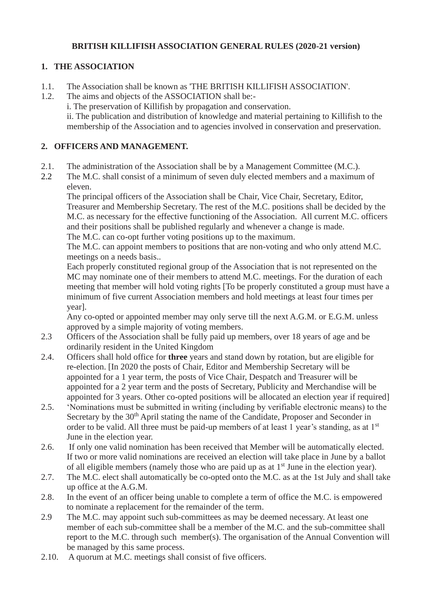## **BRITISH KILLIFISH ASSOCIATION GENERAL RULES (2020-21 version)**

## **1. THE ASSOCIATION**

- 1.1. The Association shall be known as 'THE BRITISH KILLIFISH ASSOCIATION'.
- 1.2. The aims and objects of the ASSOCIATION shall be: i. The preservation of Killifish by propagation and conservation. ii. The publication and distribution of knowledge and material pertaining to Killifish to the membership of the Association and to agencies involved in conservation and preservation.

### **2. OFFICERS AND MANAGEMENT.**

- 2.1. The administration of the Association shall be by a Management Committee (M.C.).
- 2.2 The M.C. shall consist of a minimum of seven duly elected members and a maximum of eleven.

The principal officers of the Association shall be Chair, Vice Chair, Secretary, Editor, Treasurer and Membership Secretary. The rest of the M.C. positions shall be decided by the M.C. as necessary for the effective functioning of the Association. All current M.C. officers and their positions shall be published regularly and whenever a change is made. The M.C. can co-opt further voting positions up to the maximum.

The M.C. can appoint members to positions that are non-voting and who only attend M.C. meetings on a needs basis..

Each properly constituted regional group of the Association that is not represented on the MC may nominate one of their members to attend M.C. meetings. For the duration of each meeting that member will hold voting rights [To be properly constituted a group must have a minimum of five current Association members and hold meetings at least four times per year].

Any co-opted or appointed member may only serve till the next A.G.M. or E.G.M. unless approved by a simple majority of voting members.

- 2.3 Officers of the Association shall be fully paid up members, over 18 years of age and be ordinarily resident in the United Kingdom
- 2.4. Officers shall hold office for **three** years and stand down by rotation, but are eligible for re-election. [In 2020 the posts of Chair, Editor and Membership Secretary will be appointed for a 1 year term, the posts of Vice Chair, Despatch and Treasurer will be appointed for a 2 year term and the posts of Secretary, Publicity and Merchandise will be appointed for 3 years. Other co-opted positions will be allocated an election year if required]
- 2.5. 'Nominations must be submitted in writing (including by verifiable electronic means) to the Secretary by the 30<sup>th</sup> April stating the name of the Candidate, Proposer and Seconder in order to be valid. All three must be paid-up members of at least 1 year's standing, as at 1<sup>st</sup> June in the election year.
- 2.6. If only one valid nomination has been received that Member will be automatically elected. If two or more valid nominations are received an election will take place in June by a ballot of all eligible members (namely those who are paid up as at  $1<sup>st</sup>$  June in the election year).
- 2.7. The M.C. elect shall automatically be co-opted onto the M.C. as at the 1st July and shall take up office at the A.G.M.
- 2.8. In the event of an officer being unable to complete a term of office the M.C. is empowered to nominate a replacement for the remainder of the term.
- 2.9 The M.C. may appoint such sub-committees as may be deemed necessary. At least one member of each sub-committee shall be a member of the M.C. and the sub-committee shall report to the M.C. through such member(s). The organisation of the Annual Convention will be managed by this same process.
- 2.10. A quorum at M.C. meetings shall consist of five officers.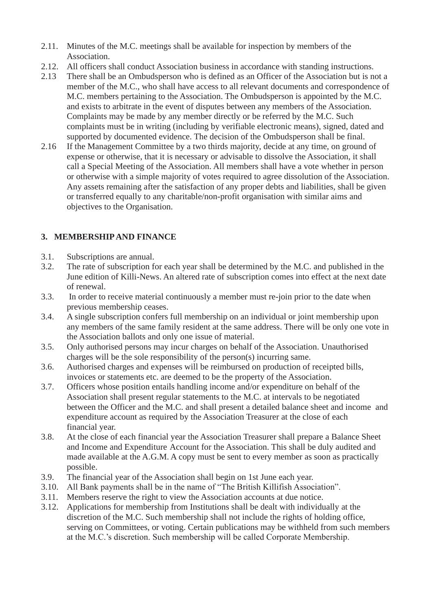- 2.11. Minutes of the M.C. meetings shall be available for inspection by members of the Association.
- 2.12. All officers shall conduct Association business in accordance with standing instructions.
- 2.13 There shall be an Ombudsperson who is defined as an Officer of the Association but is not a member of the M.C., who shall have access to all relevant documents and correspondence of M.C. members pertaining to the Association. The Ombudsperson is appointed by the M.C. and exists to arbitrate in the event of disputes between any members of the Association. Complaints may be made by any member directly or be referred by the M.C. Such complaints must be in writing (including by verifiable electronic means), signed, dated and supported by documented evidence. The decision of the Ombudsperson shall be final.
- 2.16 If the Management Committee by a two thirds majority, decide at any time, on ground of expense or otherwise, that it is necessary or advisable to dissolve the Association, it shall call a Special Meeting of the Association. All members shall have a vote whether in person or otherwise with a simple majority of votes required to agree dissolution of the Association. Any assets remaining after the satisfaction of any proper debts and liabilities, shall be given or transferred equally to any charitable/non-profit organisation with similar aims and objectives to the Organisation.

# **3. MEMBERSHIP AND FINANCE**

- 3.1. Subscriptions are annual.
- 3.2. The rate of subscription for each year shall be determined by the M.C. and published in the June edition of Killi-News. An altered rate of subscription comes into effect at the next date of renewal.
- 3.3. In order to receive material continuously a member must re-join prior to the date when previous membership ceases.
- 3.4. A single subscription confers full membership on an individual or joint membership upon any members of the same family resident at the same address. There will be only one vote in the Association ballots and only one issue of material.
- 3.5. Only authorised persons may incur charges on behalf of the Association. Unauthorised charges will be the sole responsibility of the person(s) incurring same.
- 3.6. Authorised charges and expenses will be reimbursed on production of receipted bills, invoices or statements etc. are deemed to be the property of the Association.
- 3.7. Officers whose position entails handling income and/or expenditure on behalf of the Association shall present regular statements to the M.C. at intervals to be negotiated between the Officer and the M.C. and shall present a detailed balance sheet and income and expenditure account as required by the Association Treasurer at the close of each financial year.
- 3.8. At the close of each financial year the Association Treasurer shall prepare a Balance Sheet and Income and Expenditure Account for the Association. This shall be duly audited and made available at the A.G.M. A copy must be sent to every member as soon as practically possible.
- 3.9. The financial year of the Association shall begin on 1st June each year.
- 3.10. All Bank payments shall be in the name of "The British Killifish Association".
- 3.11. Members reserve the right to view the Association accounts at due notice.
- 3.12. Applications for membership from Institutions shall be dealt with individually at the discretion of the M.C. Such membership shall not include the rights of holding office, serving on Committees, or voting. Certain publications may be withheld from such members at the M.C.'s discretion. Such membership will be called Corporate Membership.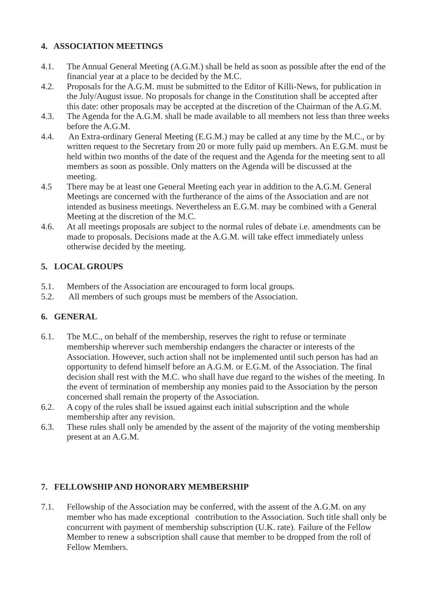## **4. ASSOCIATION MEETINGS**

- 4.1. The Annual General Meeting (A.G.M.) shall be held as soon as possible after the end of the financial year at a place to be decided by the M.C.
- 4.2. Proposals for the A.G.M. must be submitted to the Editor of Killi-News, for publication in the July/August issue. No proposals for change in the Constitution shall be accepted after this date: other proposals may be accepted at the discretion of the Chairman of the A.G.M.
- 4.3. The Agenda for the A.G.M. shall be made available to all members not less than three weeks before the A.G.M.
- 4.4. An Extra-ordinary General Meeting (E.G.M.) may be called at any time by the M.C., or by written request to the Secretary from 20 or more fully paid up members. An E.G.M. must be held within two months of the date of the request and the Agenda for the meeting sent to all members as soon as possible. Only matters on the Agenda will be discussed at the meeting.
- 4.5 There may be at least one General Meeting each year in addition to the A.G.M. General Meetings are concerned with the furtherance of the aims of the Association and are not intended as business meetings. Nevertheless an E.G.M. may be combined with a General Meeting at the discretion of the M.C.
- 4.6. At all meetings proposals are subject to the normal rules of debate i.e. amendments can be made to proposals. Decisions made at the A.G.M. will take effect immediately unless otherwise decided by the meeting.

# **5. LOCAL GROUPS**

- 5.1. Members of the Association are encouraged to form local groups.
- 5.2. All members of such groups must be members of the Association.

## **6. GENERAL**

- 6.1. The M.C., on behalf of the membership, reserves the right to refuse or terminate membership wherever such membership endangers the character or interests of the Association. However, such action shall not be implemented until such person has had an opportunity to defend himself before an A.G.M. or E.G.M. of the Association. The final decision shall rest with the M.C. who shall have due regard to the wishes of the meeting. In the event of termination of membership any monies paid to the Association by the person concerned shall remain the property of the Association.
- 6.2. A copy of the rules shall be issued against each initial subscription and the whole membership after any revision.
- 6.3. These rules shall only be amended by the assent of the majority of the voting membership present at an A.G.M.

## **7. FELLOWSHIP AND HONORARY MEMBERSHIP**

7.1. Fellowship of the Association may be conferred, with the assent of the A.G.M. on any member who has made exceptional contribution to the Association. Such title shall only be concurrent with payment of membership subscription (U.K. rate). Failure of the Fellow Member to renew a subscription shall cause that member to be dropped from the roll of Fellow Members.